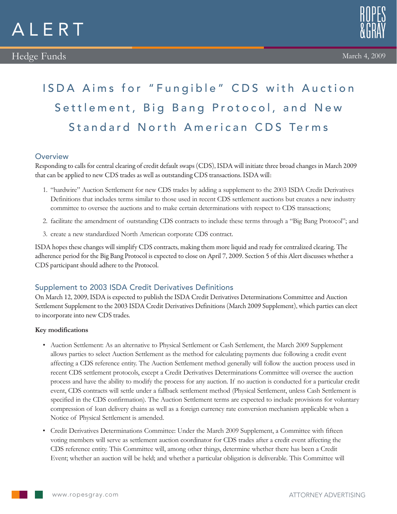



# ISDA Aims for "Fungible" CDS with Auction Settlement, Big Bang Protocol, and New Standard North American CDS Terms

## **Overview**

Responding to calls for central clearing of credit default swaps (CDS), ISDA will initiate three broad changes in March 2009 that can be applied to new CDS trades as well as outstanding CDS transactions. ISDA will:

- 1. "hardwire" Auction Settlement for new CDS trades by adding a supplement to the 2003 ISDA Credit Derivatives Definitions that includes terms similar to those used in recent CDS settlement auctions but creates a new industry committee to oversee the auctions and to make certain determinations with respect to CDS transactions;
- 2. facilitate the amendment of outstanding CDS contracts to include these terms through a "Big Bang Protocol"; and
- 3. create a new standardized North American corporate CDS contract.

ISDA hopes these changes will simplify CDS contracts, making them more liquid and ready for centralized clearing. The adherence period for the Big Bang Protocol is expected to close on April 7, 2009. Section 5 of this Alert discusses whether a CDS participant should adhere to the Protocol.

# Supplement to 2003 ISDA Credit Derivatives Definitions

On March 12, 2009, ISDA is expected to publish the ISDA Credit Derivatives Determinations Committee and Auction Settlement Supplement to the 2003 ISDA Credit Derivatives Definitions (March 2009 Supplement), which parties can elect to incorporate into new CDS trades.

#### **Key modifications**

- • Auction Settlement: As an alternative to Physical Settlement or Cash Settlement, the March 2009 Supplement allows parties to select Auction Settlement as the method for calculating payments due following a credit event affecting a CDS reference entity. The Auction Settlement method generally will follow the auction process used in recent CDS settlement protocols, except a Credit Derivatives Determinations Committee will oversee the auction process and have the ability to modify the process for any auction. If no auction is conducted for a particular credit event, CDS contracts will settle under a fallback settlement method (Physical Settlement, unless Cash Settlement is specified in the CDS confirmation). The Auction Settlement terms are expected to include provisions for voluntary compression of loan delivery chains as well as a foreign currency rate conversion mechanism applicable when a Notice of Physical Settlement is amended.
- • Credit Derivatives Determinations Committee: Under the March 2009 Supplement, a Committee with fifteen voting members will serve as settlement auction coordinator for CDS trades after a credit event affecting the CDS reference entity. This Committee will, among other things, determine whether there has been a Credit Event; whether an auction will be held; and whether a particular obligation is deliverable. This Committee will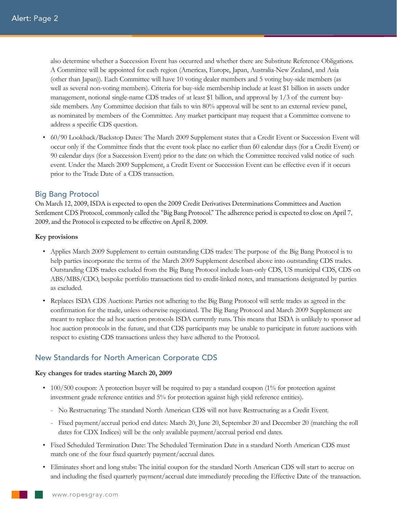also determine whether a Succession Event has occurred and whether there are Substitute Reference Obligations. A Committee will be appointed for each region (Americas, Europe, Japan, Australia-New Zealand, and Asia (other than Japan)). Each Committee will have 10 voting dealer members and 5 voting buy-side members (as well as several non-voting members). Criteria for buy-side membership include at least \$1 billion in assets under management, notional single-name CDS trades of at least \$1 billion, and approval by 1/3 of the current buyside members. Any Committee decision that fails to win 80% approval will be sent to an external review panel, as nominated by members of the Committee. Any market participant may request that a Committee convene to address a specific CDS question.

• 60/90 Lookback/Backstop Dates: The March 2009 Supplement states that a Credit Event or Succession Event will occur only if the Committee finds that the event took place no earlier than 60 calendar days (for a Credit Event) or 90 calendar days (for a Succession Event) prior to the date on which the Committee received valid notice of such event. Under the March 2009 Supplement, a Credit Event or Succession Event can be effective even if it occurs prior to the Trade Date of a CDS transaction.

## Big Bang Protocol

On March 12, 2009, ISDA is expected to open the 2009 Credit Derivatives Determinations Committees and Auction Settlement CDS Protocol, commonly called the "Big Bang Protocol." The adherence period is expected to close on April 7, 2009, and the Protocol is expected to be effective on April 8, 2009.

#### **Key provisions**

- • Applies March 2009 Supplement to certain outstanding CDS trades: The purpose of the Big Bang Protocol is to help parties incorporate the terms of the March 2009 Supplement described above into outstanding CDS trades. Outstanding CDS trades excluded from the Big Bang Protocol include loan-only CDS, US municipal CDS, CDS on ABS/MBS/CDO, bespoke portfolio transactions tied to credit-linked notes, and transactions designated by parties as excluded.
- • Replaces ISDA CDS Auctions: Parties not adhering to the Big Bang Protocol will settle trades as agreed in the confirmation for the trade, unless otherwise negotiated. The Big Bang Protocol and March 2009 Supplement are meant to replace the ad hoc auction protocols ISDA currently runs. This means that ISDA is unlikely to sponsor ad hoc auction protocols in the future, and that CDS participants may be unable to participate in future auctions with respect to existing CDS transactions unless they have adhered to the Protocol.

# New Standards for North American Corporate CDS

#### **Key changes for trades starting March 20, 2009**

- 100/500 coupon: A protection buyer will be required to pay a standard coupon (1% for protection against investment grade reference entities and 5% for protection against high yield reference entities).
	- No Restructuring: The standard North American CDS will not have Restructuring as a Credit Event.
	- - Fixed payment/accrual period end dates: March 20, June 20, September 20 and December 20 (matching the roll dates for CDX Indices) will be the only available payment/accrual period end dates.
- • Fixed Scheduled Termination Date: The Scheduled Termination Date in a standard North American CDS must match one of the four fixed quarterly payment/accrual dates.
- • Eliminates short and long stubs: The initial coupon for the standard North American CDS will start to accrue on and including the fixed quarterly payment/accrual date immediately preceding the Effective Date of the transaction.